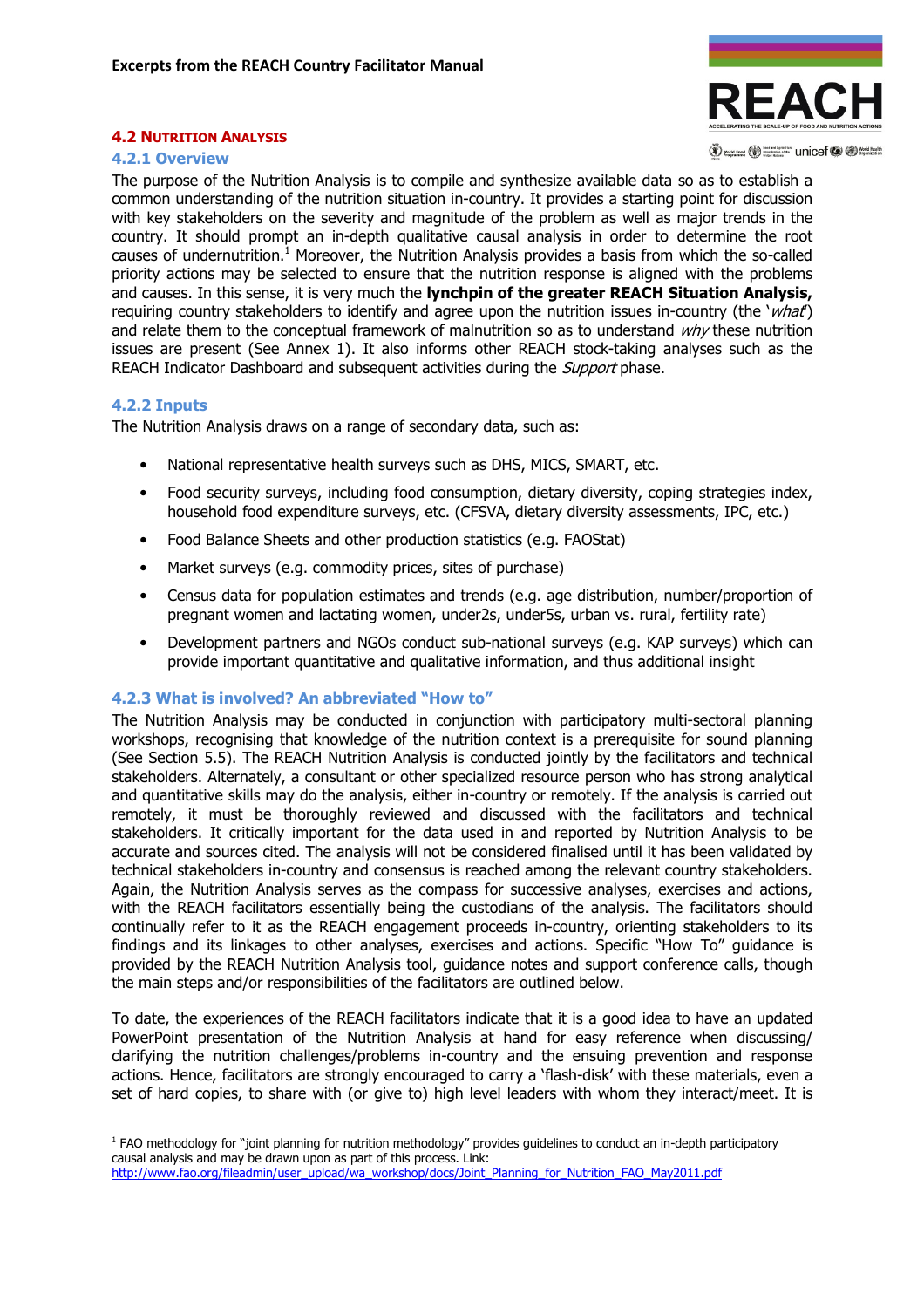

(V) word rood (V) Supported The Unicef (V (D) World Health

## 4.2 NUTRITION ANALYSIS

#### 4.2.1 Overview

The purpose of the Nutrition Analysis is to compile and synthesize available data so as to establish a common understanding of the nutrition situation in-country. It provides a starting point for discussion with key stakeholders on the severity and magnitude of the problem as well as major trends in the country. It should prompt an in-depth qualitative causal analysis in order to determine the root causes of undernutrition.<sup>1</sup> Moreover, the Nutrition Analysis provides a basis from which the so-called priority actions may be selected to ensure that the nutrition response is aligned with the problems and causes. In this sense, it is very much the **lynchpin of the greater REACH Situation Analysis,** requiring country stakeholders to identify and agree upon the nutrition issues in-country (the 'what') and relate them to the conceptual framework of malnutrition so as to understand  $why$  these nutrition issues are present (See Annex 1). It also informs other REACH stock-taking analyses such as the REACH Indicator Dashboard and subsequent activities during the *Support* phase.

### 4.2.2 Inputs

 $\overline{a}$ 

The Nutrition Analysis draws on a range of secondary data, such as:

- National representative health surveys such as DHS, MICS, SMART, etc.
- Food security surveys, including food consumption, dietary diversity, coping strategies index, household food expenditure surveys, etc. (CFSVA, dietary diversity assessments, IPC, etc.)
- Food Balance Sheets and other production statistics (e.g. FAOStat)
- Market surveys (e.g. commodity prices, sites of purchase)
- Census data for population estimates and trends (e.g. age distribution, number/proportion of pregnant women and lactating women, under2s, under5s, urban vs. rural, fertility rate)
- Development partners and NGOs conduct sub-national surveys (e.g. KAP surveys) which can provide important quantitative and qualitative information, and thus additional insight

## 4.2.3 What is involved? An abbreviated "How to"

The Nutrition Analysis may be conducted in conjunction with participatory multi-sectoral planning workshops, recognising that knowledge of the nutrition context is a prerequisite for sound planning (See Section 5.5). The REACH Nutrition Analysis is conducted jointly by the facilitators and technical stakeholders. Alternately, a consultant or other specialized resource person who has strong analytical and quantitative skills may do the analysis, either in-country or remotely. If the analysis is carried out remotely, it must be thoroughly reviewed and discussed with the facilitators and technical stakeholders. It critically important for the data used in and reported by Nutrition Analysis to be accurate and sources cited. The analysis will not be considered finalised until it has been validated by technical stakeholders in-country and consensus is reached among the relevant country stakeholders. Again, the Nutrition Analysis serves as the compass for successive analyses, exercises and actions, with the REACH facilitators essentially being the custodians of the analysis. The facilitators should continually refer to it as the REACH engagement proceeds in-country, orienting stakeholders to its findings and its linkages to other analyses, exercises and actions. Specific "How To" guidance is provided by the REACH Nutrition Analysis tool, guidance notes and support conference calls, though the main steps and/or responsibilities of the facilitators are outlined below.

To date, the experiences of the REACH facilitators indicate that it is a good idea to have an updated PowerPoint presentation of the Nutrition Analysis at hand for easy reference when discussing/ clarifying the nutrition challenges/problems in-country and the ensuing prevention and response actions. Hence, facilitators are strongly encouraged to carry a 'flash-disk' with these materials, even a set of hard copies, to share with (or give to) high level leaders with whom they interact/meet. It is

<sup>&</sup>lt;sup>1</sup> FAO methodology for "joint planning for nutrition methodology" provides guidelines to conduct an in-depth participatory causal analysis and may be drawn upon as part of this process. Link: http://www.fao.org/fileadmin/user\_upload/wa\_workshop/docs/Joint\_Planning\_for\_Nutrition\_FAO\_May2011.pdf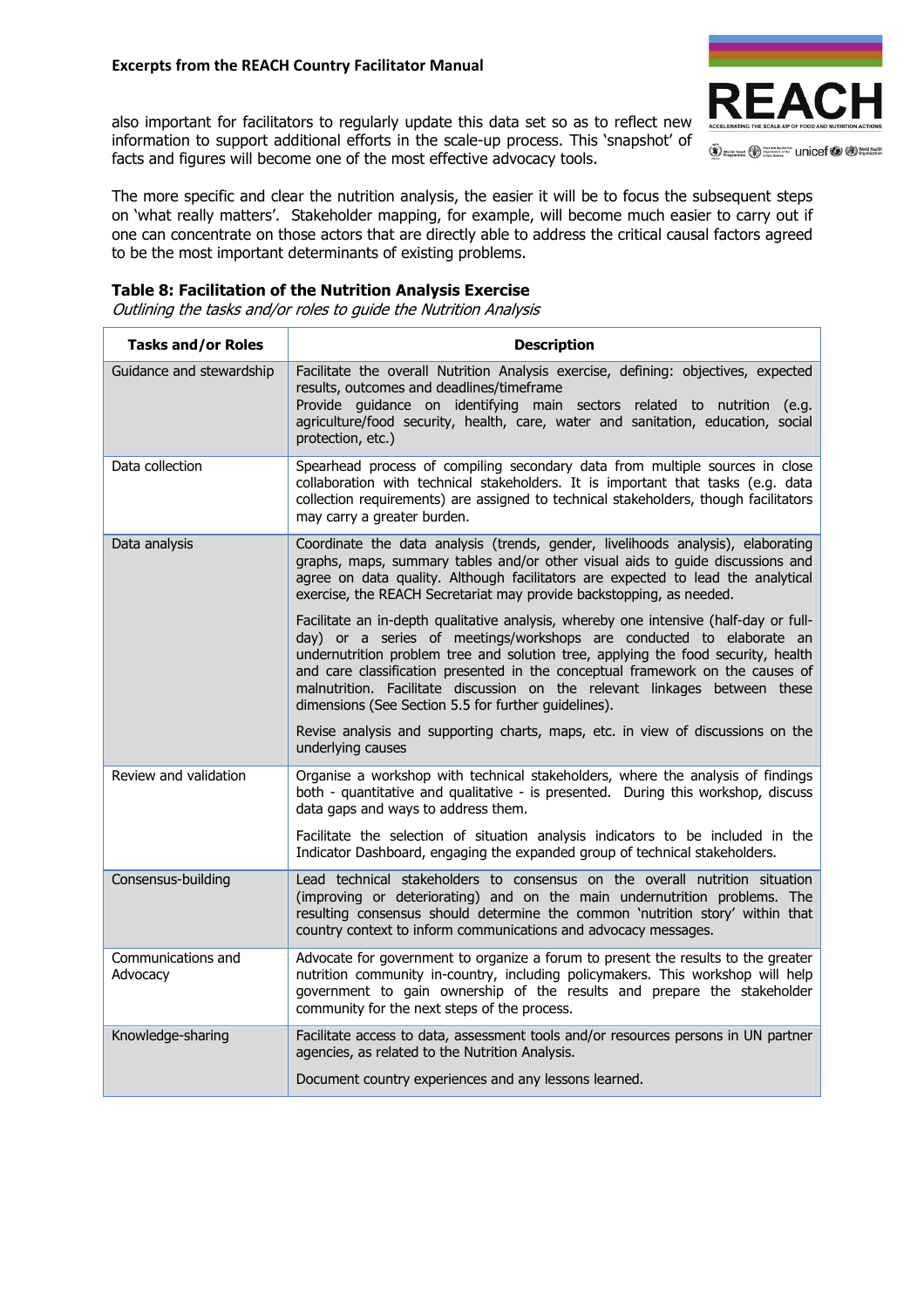## Excerpts from the REACH Country Facilitator Manual

also important for facilitators to regularly update this data set so as to reflect new information to support additional efforts in the scale-up process. This 'snapshot' of facts and figures will become one of the most effective advocacy tools.



The more specific and clear the nutrition analysis, the easier it will be to focus the subsequent steps on 'what really matters'. Stakeholder mapping, for example, will become much easier to carry out if one can concentrate on those actors that are directly able to address the critical causal factors agreed to be the most important determinants of existing problems.

## Table 8: Facilitation of the Nutrition Analysis Exercise

Outlining the tasks and/or roles to guide the Nutrition Analysis

| <b>Tasks and/or Roles</b>      | <b>Description</b>                                                                                                                                                                                                                                                                                                                                                                                                                                                         |  |  |  |  |  |
|--------------------------------|----------------------------------------------------------------------------------------------------------------------------------------------------------------------------------------------------------------------------------------------------------------------------------------------------------------------------------------------------------------------------------------------------------------------------------------------------------------------------|--|--|--|--|--|
| Guidance and stewardship       | Facilitate the overall Nutrition Analysis exercise, defining: objectives, expected<br>results, outcomes and deadlines/timeframe<br>Provide quidance on identifying main sectors related to nutrition (e.g.<br>agriculture/food security, health, care, water and sanitation, education, social<br>protection, etc.)                                                                                                                                                        |  |  |  |  |  |
| Data collection                | Spearhead process of compiling secondary data from multiple sources in close<br>collaboration with technical stakeholders. It is important that tasks (e.g. data<br>collection requirements) are assigned to technical stakeholders, though facilitators<br>may carry a greater burden.                                                                                                                                                                                    |  |  |  |  |  |
| Data analysis                  | Coordinate the data analysis (trends, gender, livelihoods analysis), elaborating<br>graphs, maps, summary tables and/or other visual aids to guide discussions and<br>agree on data quality. Although facilitators are expected to lead the analytical<br>exercise, the REACH Secretariat may provide backstopping, as needed.                                                                                                                                             |  |  |  |  |  |
|                                | Facilitate an in-depth qualitative analysis, whereby one intensive (half-day or full-<br>day) or a series of meetings/workshops are conducted to elaborate an<br>undernutrition problem tree and solution tree, applying the food security, health<br>and care classification presented in the conceptual framework on the causes of<br>malnutrition. Facilitate discussion on the relevant linkages between these<br>dimensions (See Section 5.5 for further quidelines). |  |  |  |  |  |
|                                | Revise analysis and supporting charts, maps, etc. in view of discussions on the<br>underlying causes                                                                                                                                                                                                                                                                                                                                                                       |  |  |  |  |  |
| Review and validation          | Organise a workshop with technical stakeholders, where the analysis of findings<br>both - quantitative and qualitative - is presented. During this workshop, discuss<br>data gaps and ways to address them.                                                                                                                                                                                                                                                                |  |  |  |  |  |
|                                | Facilitate the selection of situation analysis indicators to be included in the<br>Indicator Dashboard, engaging the expanded group of technical stakeholders.                                                                                                                                                                                                                                                                                                             |  |  |  |  |  |
| Consensus-building             | Lead technical stakeholders to consensus on the overall nutrition situation<br>(improving or deteriorating) and on the main undernutrition problems. The<br>resulting consensus should determine the common 'nutrition story' within that<br>country context to inform communications and advocacy messages.                                                                                                                                                               |  |  |  |  |  |
| Communications and<br>Advocacy | Advocate for government to organize a forum to present the results to the greater<br>nutrition community in-country, including policymakers. This workshop will help<br>government to gain ownership of the results and prepare the stakeholder<br>community for the next steps of the process.                                                                                                                                                                            |  |  |  |  |  |
| Knowledge-sharing              | Facilitate access to data, assessment tools and/or resources persons in UN partner<br>agencies, as related to the Nutrition Analysis.                                                                                                                                                                                                                                                                                                                                      |  |  |  |  |  |
|                                | Document country experiences and any lessons learned.                                                                                                                                                                                                                                                                                                                                                                                                                      |  |  |  |  |  |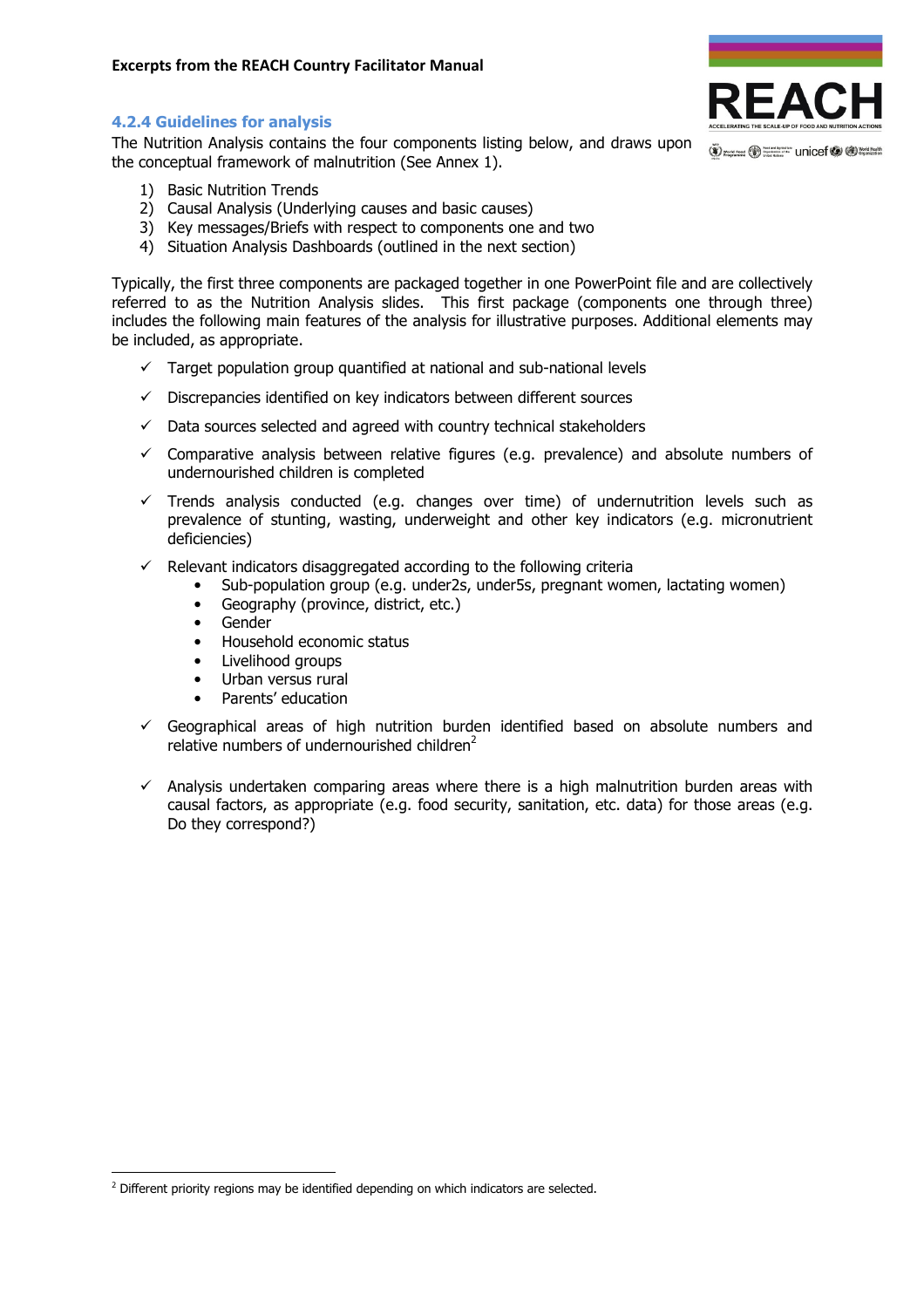## 4.2.4 Guidelines for analysis

The Nutrition Analysis contains the four components listing below, and draws upon the conceptual framework of malnutrition (See Annex 1).

- 1) Basic Nutrition Trends
- 2) Causal Analysis (Underlying causes and basic causes)
- 3) Key messages/Briefs with respect to components one and two
- 4) Situation Analysis Dashboards (outlined in the next section)

Typically, the first three components are packaged together in one PowerPoint file and are collectively referred to as the Nutrition Analysis slides. This first package (components one through three) includes the following main features of the analysis for illustrative purposes. Additional elements may be included, as appropriate.

- $\checkmark$  Target population group quantified at national and sub-national levels
- $\checkmark$  Discrepancies identified on key indicators between different sources
- $\checkmark$  Data sources selected and agreed with country technical stakeholders
- $\checkmark$  Comparative analysis between relative figures (e.g. prevalence) and absolute numbers of undernourished children is completed
- $\checkmark$  Trends analysis conducted (e.g. changes over time) of undernutrition levels such as prevalence of stunting, wasting, underweight and other key indicators (e.g. micronutrient deficiencies)
- $\checkmark$  Relevant indicators disaggregated according to the following criteria
	- Sub-population group (e.g. under2s, under5s, pregnant women, lactating women)
	- Geography (province, district, etc.)
	- Gender

l

- Household economic status
- Livelihood groups
- Urban versus rural
- Parents' education
- $\checkmark$  Geographical areas of high nutrition burden identified based on absolute numbers and relative numbers of undernourished children $2$
- $\checkmark$  Analysis undertaken comparing areas where there is a high malnutrition burden areas with causal factors, as appropriate (e.g. food security, sanitation, etc. data) for those areas (e.g. Do they correspond?)



<sup>&</sup>lt;sup>2</sup> Different priority regions may be identified depending on which indicators are selected.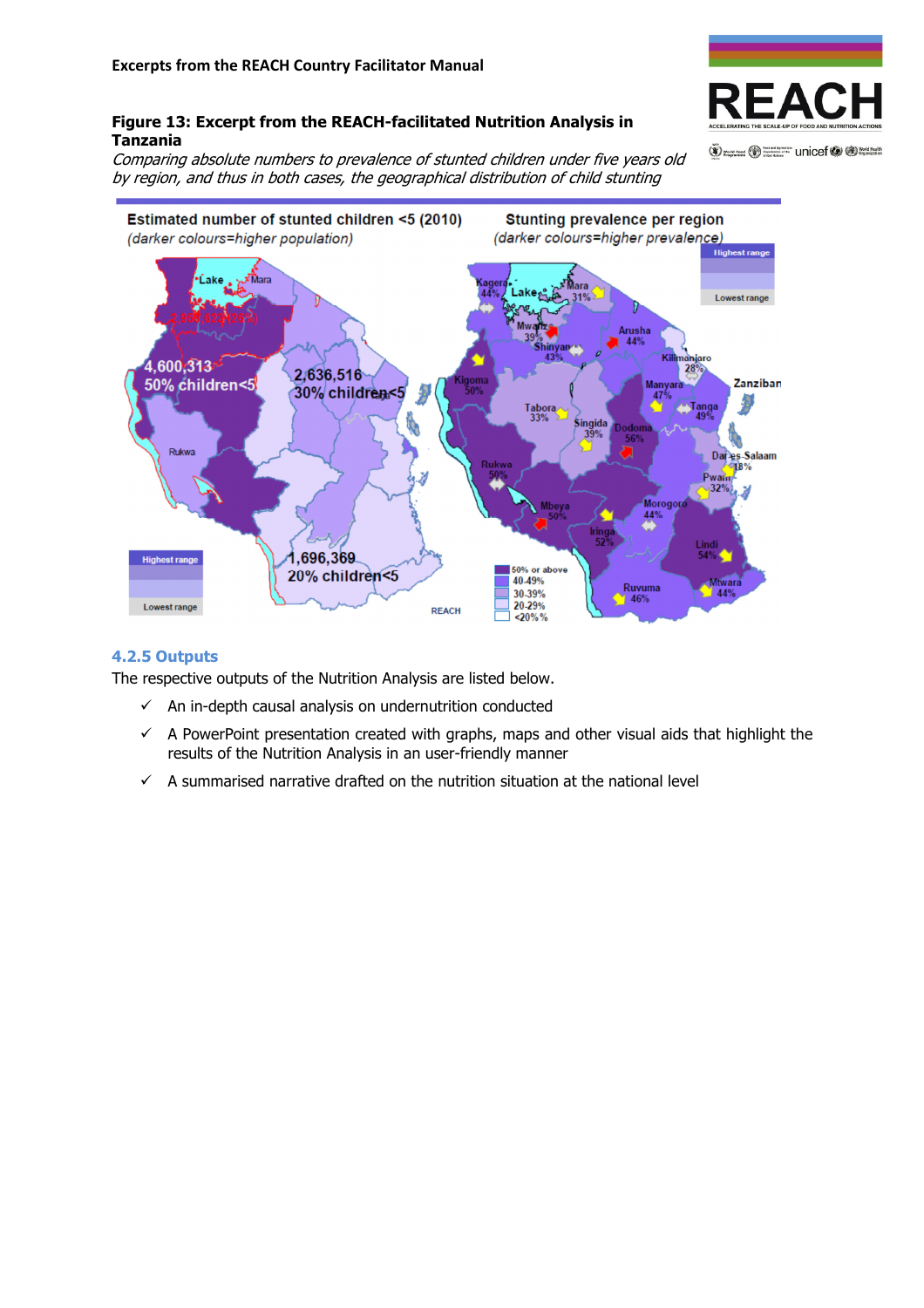

O work road to Support The Unicef O O Work Health

## Figure 13: Excerpt from the REACH-facilitated Nutrition Analysis in Tanzania

Comparing absolute numbers to prevalence of stunted children under five years old by region, and thus in both cases, the geographical distribution of child stunting



## 4.2.5 Outputs

The respective outputs of the Nutrition Analysis are listed below.

- $\checkmark$  An in-depth causal analysis on undernutrition conducted
- $\checkmark$  A PowerPoint presentation created with graphs, maps and other visual aids that highlight the results of the Nutrition Analysis in an user-friendly manner
- $\checkmark$  A summarised narrative drafted on the nutrition situation at the national level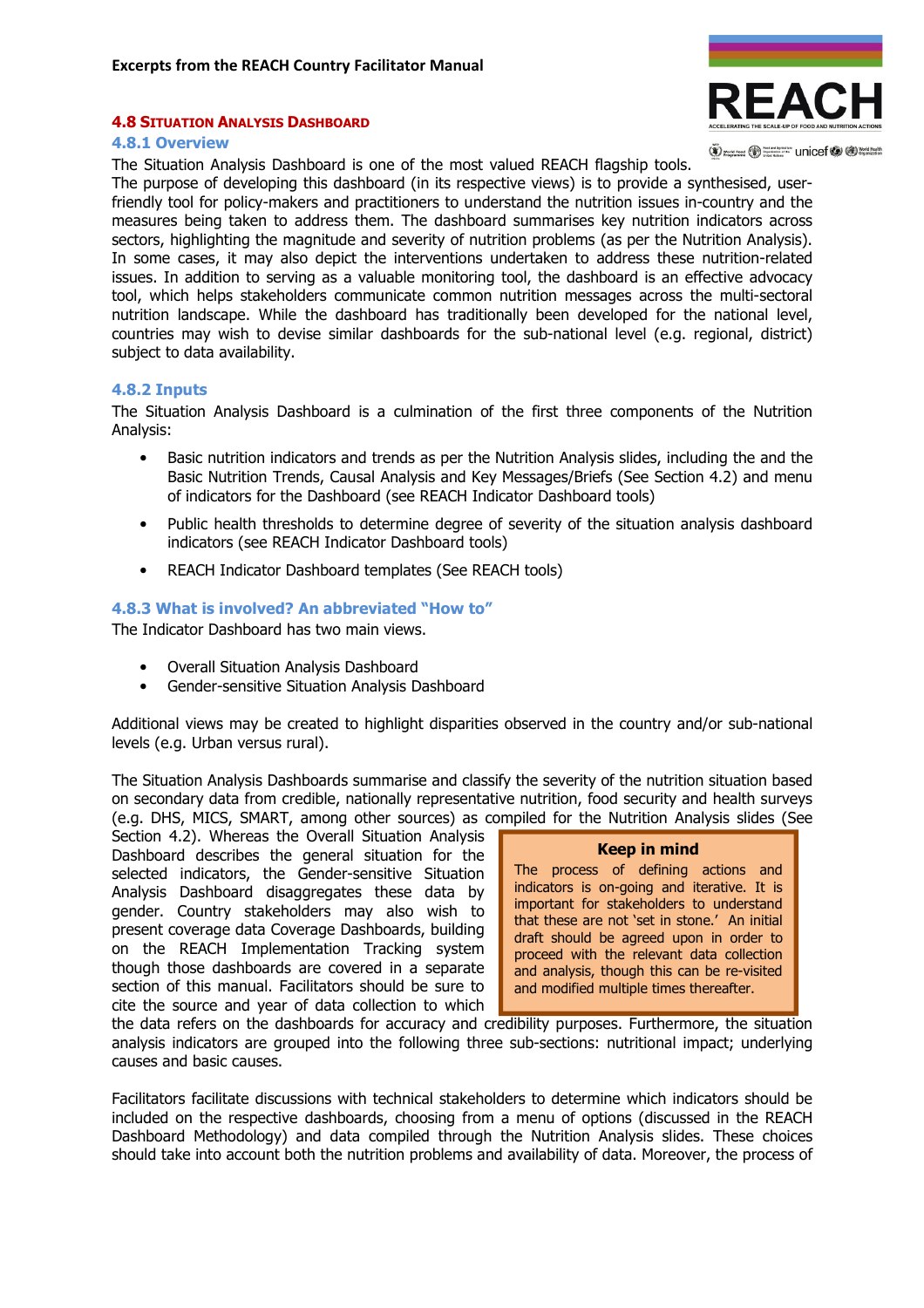#### 4.8 SITUATION ANALYSIS DASHBOARD

EAC

(V) word rood (V) Supported The Unicef (V (D) World Health

#### 4.8.1 Overview

The Situation Analysis Dashboard is one of the most valued REACH flagship tools.

The purpose of developing this dashboard (in its respective views) is to provide a synthesised, userfriendly tool for policy-makers and practitioners to understand the nutrition issues in-country and the measures being taken to address them. The dashboard summarises key nutrition indicators across sectors, highlighting the magnitude and severity of nutrition problems (as per the Nutrition Analysis). In some cases, it may also depict the interventions undertaken to address these nutrition-related issues. In addition to serving as a valuable monitoring tool, the dashboard is an effective advocacy tool, which helps stakeholders communicate common nutrition messages across the multi-sectoral nutrition landscape. While the dashboard has traditionally been developed for the national level, countries may wish to devise similar dashboards for the sub-national level (e.g. regional, district) subject to data availability.

#### 4.8.2 Inputs

The Situation Analysis Dashboard is a culmination of the first three components of the Nutrition Analysis:

- Basic nutrition indicators and trends as per the Nutrition Analysis slides, including the and the Basic Nutrition Trends, Causal Analysis and Key Messages/Briefs (See Section 4.2) and menu of indicators for the Dashboard (see REACH Indicator Dashboard tools)
- Public health thresholds to determine degree of severity of the situation analysis dashboard indicators (see REACH Indicator Dashboard tools)
- REACH Indicator Dashboard templates (See REACH tools)

#### 4.8.3 What is involved? An abbreviated "How to"

The Indicator Dashboard has two main views.

- Overall Situation Analysis Dashboard
- Gender-sensitive Situation Analysis Dashboard

Additional views may be created to highlight disparities observed in the country and/or sub-national levels (e.g. Urban versus rural).

The Situation Analysis Dashboards summarise and classify the severity of the nutrition situation based on secondary data from credible, nationally representative nutrition, food security and health surveys (e.g. DHS, MICS, SMART, among other sources) as compiled for the Nutrition Analysis slides (See

Section 4.2). Whereas the Overall Situation Analysis Dashboard describes the general situation for the selected indicators, the Gender-sensitive Situation Analysis Dashboard disaggregates these data by gender. Country stakeholders may also wish to present coverage data Coverage Dashboards, building on the REACH Implementation Tracking system though those dashboards are covered in a separate section of this manual. Facilitators should be sure to cite the source and year of data collection to which

#### Keep in mind

The process of defining actions and indicators is on-going and iterative. It is important for stakeholders to understand that these are not 'set in stone.' An initial draft should be agreed upon in order to proceed with the relevant data collection and analysis, though this can be re-visited and modified multiple times thereafter.

the data refers on the dashboards for accuracy and credibility purposes. Furthermore, the situation analysis indicators are grouped into the following three sub-sections: nutritional impact; underlying causes and basic causes.

Facilitators facilitate discussions with technical stakeholders to determine which indicators should be included on the respective dashboards, choosing from a menu of options (discussed in the REACH Dashboard Methodology) and data compiled through the Nutrition Analysis slides. These choices should take into account both the nutrition problems and availability of data. Moreover, the process of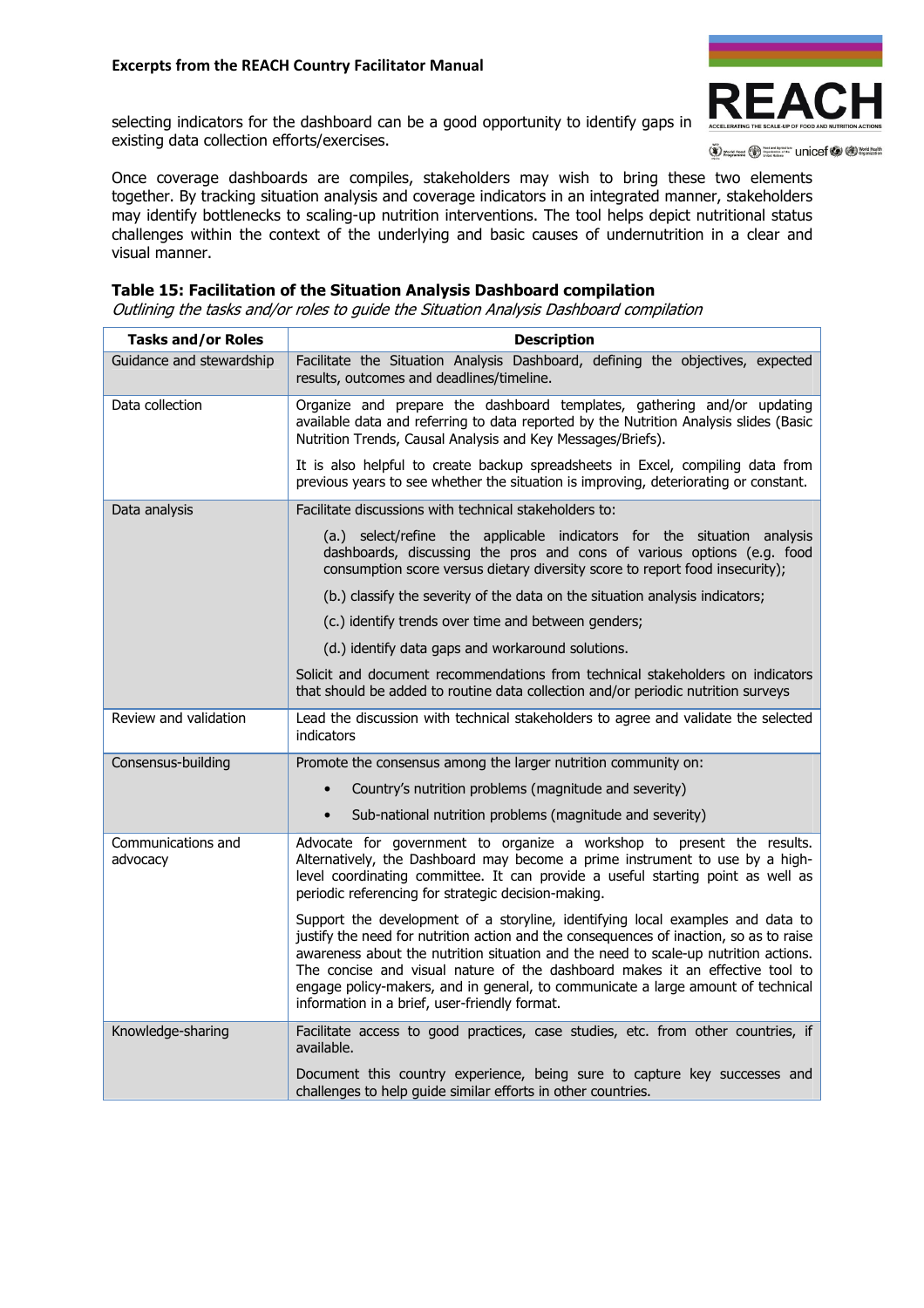

selecting indicators for the dashboard can be a good opportunity to identify gaps in existing data collection efforts/exercises.

(V) yours root (V) Supported Unicef (V (V) World Health

Once coverage dashboards are compiles, stakeholders may wish to bring these two elements together. By tracking situation analysis and coverage indicators in an integrated manner, stakeholders may identify bottlenecks to scaling-up nutrition interventions. The tool helps depict nutritional status challenges within the context of the underlying and basic causes of undernutrition in a clear and visual manner.

### Table 15: Facilitation of the Situation Analysis Dashboard compilation

Outlining the tasks and/or roles to guide the Situation Analysis Dashboard compilation

| Tasks and/or Roles             | <b>Description</b>                                                                                                                                                                                                                                                                                                                                                                                                                                                                   |
|--------------------------------|--------------------------------------------------------------------------------------------------------------------------------------------------------------------------------------------------------------------------------------------------------------------------------------------------------------------------------------------------------------------------------------------------------------------------------------------------------------------------------------|
| Guidance and stewardship       | Facilitate the Situation Analysis Dashboard, defining the objectives, expected<br>results, outcomes and deadlines/timeline.                                                                                                                                                                                                                                                                                                                                                          |
| Data collection                | Organize and prepare the dashboard templates, gathering and/or updating<br>available data and referring to data reported by the Nutrition Analysis slides (Basic<br>Nutrition Trends, Causal Analysis and Key Messages/Briefs).                                                                                                                                                                                                                                                      |
|                                | It is also helpful to create backup spreadsheets in Excel, compiling data from<br>previous years to see whether the situation is improving, deteriorating or constant.                                                                                                                                                                                                                                                                                                               |
| Data analysis                  | Facilitate discussions with technical stakeholders to:                                                                                                                                                                                                                                                                                                                                                                                                                               |
|                                | (a.) select/refine the applicable indicators for the situation analysis<br>dashboards, discussing the pros and cons of various options (e.g. food<br>consumption score versus dietary diversity score to report food insecurity);                                                                                                                                                                                                                                                    |
|                                | (b.) classify the severity of the data on the situation analysis indicators;                                                                                                                                                                                                                                                                                                                                                                                                         |
|                                | (c.) identify trends over time and between genders;                                                                                                                                                                                                                                                                                                                                                                                                                                  |
|                                | (d.) identify data gaps and workaround solutions.                                                                                                                                                                                                                                                                                                                                                                                                                                    |
|                                | Solicit and document recommendations from technical stakeholders on indicators<br>that should be added to routine data collection and/or periodic nutrition surveys                                                                                                                                                                                                                                                                                                                  |
| Review and validation          | Lead the discussion with technical stakeholders to agree and validate the selected<br>indicators                                                                                                                                                                                                                                                                                                                                                                                     |
| Consensus-building             | Promote the consensus among the larger nutrition community on:                                                                                                                                                                                                                                                                                                                                                                                                                       |
|                                | Country's nutrition problems (magnitude and severity)<br>$\bullet$                                                                                                                                                                                                                                                                                                                                                                                                                   |
|                                | Sub-national nutrition problems (magnitude and severity)                                                                                                                                                                                                                                                                                                                                                                                                                             |
| Communications and<br>advocacy | Advocate for government to organize a workshop to present the results.<br>Alternatively, the Dashboard may become a prime instrument to use by a high-<br>level coordinating committee. It can provide a useful starting point as well as<br>periodic referencing for strategic decision-making.                                                                                                                                                                                     |
|                                | Support the development of a storyline, identifying local examples and data to<br>justify the need for nutrition action and the consequences of inaction, so as to raise<br>awareness about the nutrition situation and the need to scale-up nutrition actions.<br>The concise and visual nature of the dashboard makes it an effective tool to<br>engage policy-makers, and in general, to communicate a large amount of technical<br>information in a brief, user-friendly format. |
| Knowledge-sharing              | Facilitate access to good practices, case studies, etc. from other countries, if<br>available.                                                                                                                                                                                                                                                                                                                                                                                       |
|                                | Document this country experience, being sure to capture key successes and<br>challenges to help guide similar efforts in other countries.                                                                                                                                                                                                                                                                                                                                            |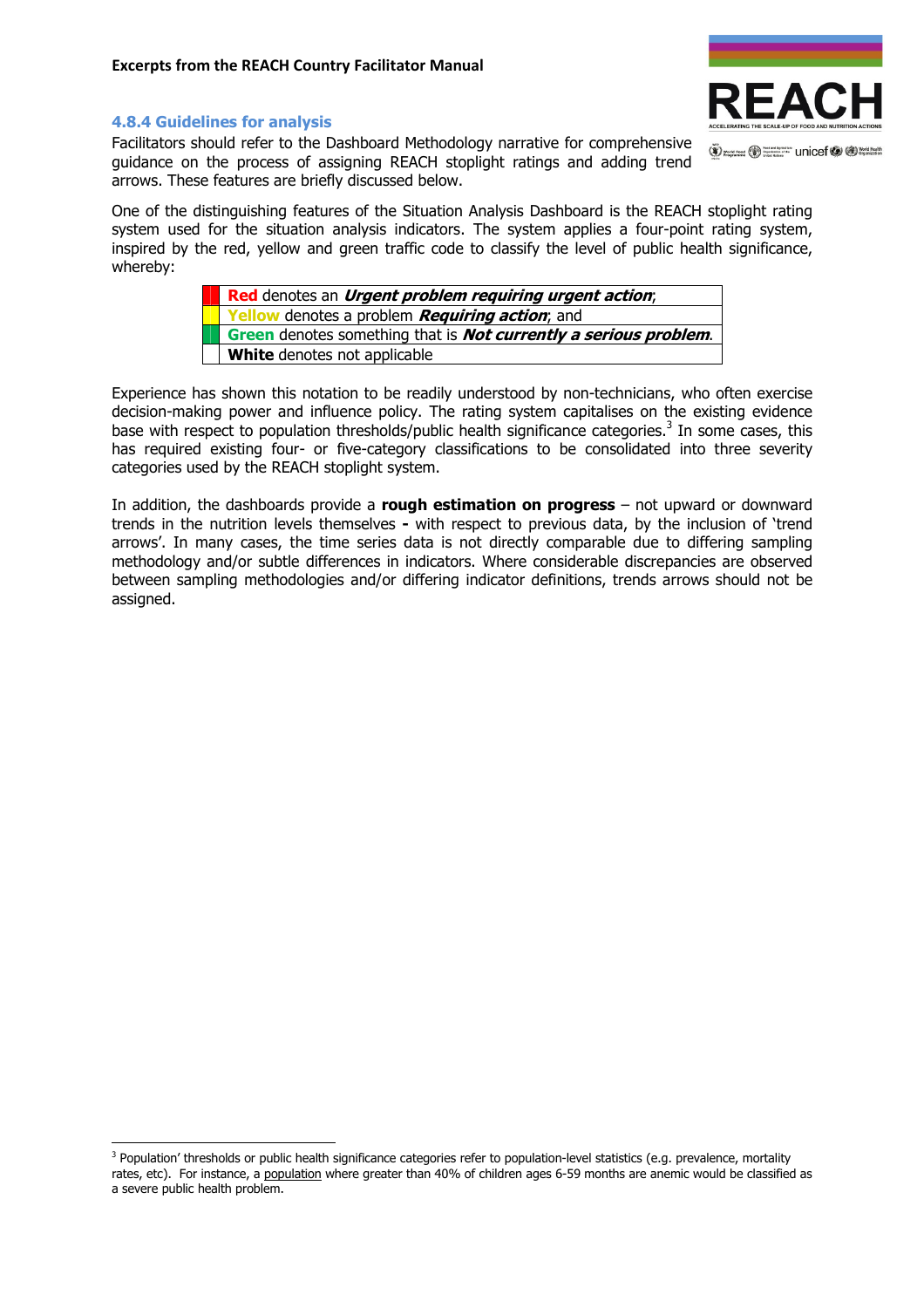

(V) word rood (V) Supported The Unicef (V (D) World Health

#### 4.8.4 Guidelines for analysis

 $\overline{a}$ 

Facilitators should refer to the Dashboard Methodology narrative for comprehensive guidance on the process of assigning REACH stoplight ratings and adding trend arrows. These features are briefly discussed below.

One of the distinguishing features of the Situation Analysis Dashboard is the REACH stoplight rating system used for the situation analysis indicators. The system applies a four-point rating system, inspired by the red, yellow and green traffic code to classify the level of public health significance, whereby:

| Red denotes an <i>Urgent problem requiring urgent action</i> ;           |
|--------------------------------------------------------------------------|
| Yellow denotes a problem Requiring action; and                           |
| Green denotes something that is <i>Not currently a serious problem</i> . |
| <b>White</b> denotes not applicable                                      |

Experience has shown this notation to be readily understood by non-technicians, who often exercise decision-making power and influence policy. The rating system capitalises on the existing evidence base with respect to population thresholds/public health significance categories.<sup>3</sup> In some cases, this has required existing four- or five-category classifications to be consolidated into three severity categories used by the REACH stoplight system.

In addition, the dashboards provide a rough estimation on progress  $-$  not upward or downward trends in the nutrition levels themselves - with respect to previous data, by the inclusion of 'trend arrows'. In many cases, the time series data is not directly comparable due to differing sampling methodology and/or subtle differences in indicators. Where considerable discrepancies are observed between sampling methodologies and/or differing indicator definitions, trends arrows should not be assigned.

<sup>&</sup>lt;sup>3</sup> Population' thresholds or public health significance categories refer to population-level statistics (e.g. prevalence, mortality rates, etc). For instance, a population where greater than 40% of children ages 6-59 months are anemic would be classified as a severe public health problem.